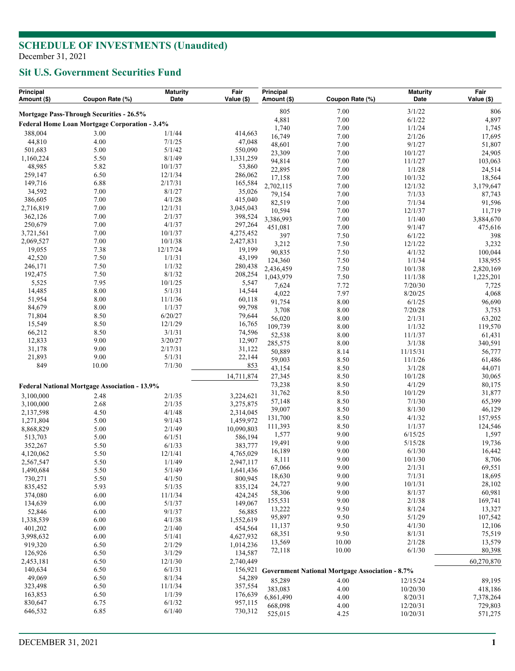**Sit U.S. Government Securities Fund**

| Principal<br>Amount (\$)                      | Coupon Rate (%)                                      | <b>Maturity</b><br>Date | Fair<br>Value (\$) | Principal<br>Amount (\$) | Coupon Rate (%)                                        | <b>Maturity</b><br>Date | Fair<br>Value (\$) |
|-----------------------------------------------|------------------------------------------------------|-------------------------|--------------------|--------------------------|--------------------------------------------------------|-------------------------|--------------------|
| Mortgage Pass-Through Securities - 26.5%      |                                                      |                         |                    | 805                      | 7.00                                                   | 3/1/22                  | 806                |
| Federal Home Loan Mortgage Corporation - 3.4% |                                                      |                         |                    | 4,881                    | 7.00                                                   | 6/1/22                  | 4,897              |
|                                               |                                                      |                         |                    | 1,740                    | 7.00                                                   | 1/1/24                  | 1,745              |
| 388,004                                       | 3.00                                                 | 1/1/44                  | 414,663            | 16,749                   | 7.00                                                   | 2/1/26                  | 17,695             |
| 44,810                                        | 4.00                                                 | 7/1/25                  | 47,048             | 48,601                   | 7.00                                                   | 9/1/27                  | 51,807             |
| 501,683                                       | 5.00                                                 | 5/1/42<br>8/1/49        | 550,090            | 23,309                   | 7.00                                                   | 10/1/27                 | 24,905             |
| 1,160,224<br>48,985                           | 5.50<br>5.82                                         | 10/1/37                 | 1,331,259          | 94,814                   | 7.00                                                   | 11/1/27                 | 103,063            |
|                                               | 6.50                                                 | 12/1/34                 | 53,860             | 22,895                   | 7.00                                                   | 1/1/28                  | 24,514             |
| 259,147<br>149,716                            | 6.88                                                 | 2/17/31                 | 286,062<br>165,584 | 17,158                   | 7.00                                                   | 10/1/32                 | 18,564             |
| 34,592                                        | 7.00                                                 | 8/1/27                  | 35,026             | 2,702,115                | 7.00                                                   | 12/1/32                 | 3,179,647          |
| 386,605                                       | 7.00                                                 | 4/1/28                  | 415,040            | 79,154                   | 7.00                                                   | 7/1/33                  | 87,743             |
| 2,716,819                                     | 7.00                                                 | 12/1/31                 | 3,045,043          | 82,519                   | 7.00                                                   | 7/1/34                  | 91,596             |
| 362,126                                       | 7.00                                                 | 2/1/37                  | 398,524            | 10,594                   | 7.00                                                   | 12/1/37                 | 11,719             |
| 250,679                                       | 7.00                                                 | 4/1/37                  | 297,264            | 3,386,993                | 7.00                                                   | 1/1/40                  | 3,884,670          |
| 3,721,561                                     | 7.00                                                 | 10/1/37                 | 4,275,452          | 451,081                  | 7.00                                                   | 9/1/47                  | 475,616            |
| 2,069,527                                     | 7.00                                                 | 10/1/38                 | 2,427,831          | 397                      | 7.50                                                   | 6/1/22                  | 398                |
| 19,055                                        | 7.38                                                 | 12/17/24                | 19,199             | 3,212<br>90,835          | 7.50<br>7.50                                           | 12/1/22<br>4/1/32       | 3,232<br>100,044   |
| 42,520                                        | 7.50                                                 | 1/1/31                  | 43,199             | 124,360                  | 7.50                                                   | 1/1/34                  | 138,955            |
| 246,171                                       | 7.50                                                 | 1/1/32                  | 280,438            | 2,436,459                | 7.50                                                   | 10/1/38                 | 2,820,169          |
| 192,475                                       | 7.50                                                 | 8/1/32                  | 208,254            | 1,043,979                | 7.50                                                   | 11/1/38                 | 1,225,201          |
| 5,525                                         | 7.95                                                 | 10/1/25                 | 5,547              | 7,624                    | 7.72                                                   | 7/20/30                 | 7,725              |
| 14,485                                        | 8.00                                                 | 5/1/31                  | 14,544             | 4,022                    | 7.97                                                   | 8/20/25                 | 4,068              |
| 51,954                                        | 8.00                                                 | 11/1/36                 | 60,118             | 91,754                   | 8.00                                                   | 6/1/25                  | 96,690             |
| 84,679                                        | 8.00                                                 | 1/1/37                  | 99,798             | 3,708                    | 8.00                                                   | 7/20/28                 | 3,753              |
| 71,804                                        | 8.50                                                 | 6/20/27                 | 79,644             | 56,020                   | 8.00                                                   | 2/1/31                  | 63,202             |
| 15,549                                        | 8.50                                                 | 12/1/29                 | 16,765             | 109,739                  | 8.00                                                   | 1/1/32                  | 119,570            |
| 66,212                                        | 8.50                                                 | 3/1/31                  | 74,596             | 52,538                   | 8.00                                                   | 11/1/37                 | 61,431             |
| 12,833                                        | 9.00                                                 | 3/20/27                 | 12,907             | 285,575                  | 8.00                                                   | 3/1/38                  | 340,591            |
| 31,178                                        | 9.00                                                 | 2/17/31                 | 31,122             | 50,889                   | 8.14                                                   | 11/15/31                | 56,777             |
| 21,893                                        | 9.00                                                 | 5/1/31                  | 22,144             | 59,003                   | 8.50                                                   | 11/1/26                 | 61,486             |
| 849                                           | 10.00                                                | 7/1/30                  | 853                | 43,154                   | 8.50                                                   | 3/1/28                  | 44,071             |
|                                               |                                                      |                         | 14,711,874         | 27,345                   | 8.50                                                   | 10/1/28                 | 30,065             |
|                                               | <b>Federal National Mortgage Association - 13.9%</b> |                         |                    | 73,238                   | 8.50                                                   | 4/1/29                  | 80,175             |
| 3,100,000                                     | 2.48                                                 | 2/1/35                  | 3,224,621          | 31,762                   | 8.50                                                   | 10/1/29                 | 31,877             |
| 3,100,000                                     | 2.68                                                 | 2/1/35                  | 3,275,875          | 57,148                   | 8.50                                                   | 7/1/30                  | 65,399             |
| 2,137,598                                     | 4.50                                                 | 4/1/48                  | 2,314,045          | 39,007                   | 8.50                                                   | 8/1/30                  | 46,129             |
| 1,271,804                                     | 5.00                                                 | 9/1/43                  | 1,459,972          | 131,700                  | 8.50                                                   | 4/1/32                  | 157,955            |
| 8,868,829                                     | 5.00                                                 | 2/1/49                  | 10,090,803         | 111,393                  | 8.50                                                   | 1/1/37                  | 124,546            |
| 513,703                                       | 5.00                                                 | 6/1/51                  | 586,194            | 1,577                    | 9.00                                                   | 6/15/25                 | 1,597              |
| 352,267                                       | 5.50                                                 | 6/1/33                  | 383,777            | 19,491                   | 9.00                                                   | 5/15/28                 | 19,736             |
| 4,120,062                                     | 5.50                                                 | 12/1/41                 | 4,765,029          | 16,189                   | 9.00                                                   | 6/1/30                  | 16,442             |
| 2,567,547                                     | 5.50                                                 | 1/1/49                  | 2,947,117          | 8,111                    | 9.00                                                   | 10/1/30                 | 8,706              |
| 1,490,684                                     | 5.50                                                 | 5/1/49                  | 1,641,436          | 67,066                   | 9.00                                                   | 2/1/31                  | 69,551             |
| 730,271                                       | 5.50                                                 | 4/1/50                  | 800,945            | 18,630                   | $9.00\,$                                               | 7/1/31                  | 18,695             |
| 835,452                                       | 5.93                                                 | 5/1/35                  | 835,124            | 24,727                   | 9.00                                                   | 10/1/31                 | 28,102             |
| 374,080                                       | 6.00                                                 | 11/1/34                 | 424,245            | 58,306                   | 9.00                                                   | 8/1/37                  | 60,981             |
| 134,639                                       | 6.00                                                 | 5/1/37                  | 149,067            | 155,531                  | 9.00                                                   | 2/1/38                  | 169,741            |
| 52,846                                        | 6.00                                                 | 9/1/37                  | 56,885             | 13,222                   | 9.50                                                   | 8/1/24                  | 13,327             |
| 1,338,539                                     | 6.00                                                 | 4/1/38                  | 1,552,619          | 95,897                   | 9.50<br>9.50                                           | 5/1/29<br>4/1/30        | 107,542<br>12,106  |
| 401,202                                       | 6.00                                                 | 2/1/40                  | 454,564            | 11,137<br>68,351         | 9.50                                                   | 8/1/31                  | 75,519             |
| 3,998,632                                     | 6.00                                                 | 5/1/41                  | 4,627,932          | 13,569                   | 10.00                                                  | 2/1/28                  | 13,579             |
| 919,320                                       | 6.50                                                 | 2/1/29                  | 1,014,236          | 72,118                   | 10.00                                                  | 6/1/30                  | 80,398             |
| 126,926                                       | 6.50                                                 | 3/1/29                  | 134,587            |                          |                                                        |                         |                    |
| 2,453,181                                     | 6.50                                                 | 12/1/30                 | 2,740,449          |                          |                                                        |                         | 60,270,870         |
| 140,634                                       | 6.50                                                 | 6/1/31                  | 156,921            |                          | <b>Government National Mortgage Association - 8.7%</b> |                         |                    |
| 49,069                                        | 6.50                                                 | 8/1/34                  | 54,289             | 85,289                   | 4.00                                                   | 12/15/24                | 89,195             |
| 323,498                                       | 6.50                                                 | 11/1/34                 | 357,554            | 383,083                  | 4.00                                                   | 10/20/30                | 418,186            |
| 163,853                                       | 6.50                                                 | 1/1/39                  | 176,639            | 6,861,490                | 4.00                                                   | 8/20/31                 | 7,378,264          |
| 830,647                                       | 6.75                                                 | 6/1/32<br>6/1/40        | 957,115            | 668,098                  | 4.00                                                   | 12/20/31                | 729,803            |
| 646,532                                       | 6.85                                                 |                         | 730,312            | 525,015                  | 4.25                                                   | 10/20/31                | 571,275            |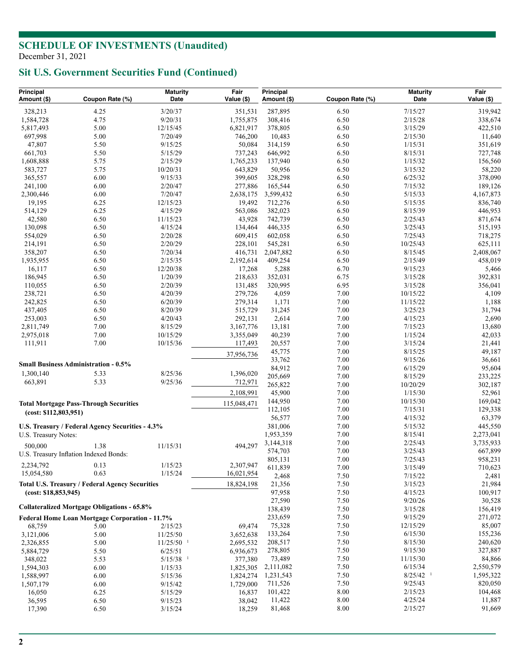# **Sit U.S. Government Securities Fund (Continued)**

| Principal<br>Amount (\$)                       | Coupon Rate (%)                                    | <b>Maturity</b><br>Date | Fair<br>Value (\$) | Principal<br>Amount (\$) | Coupon Rate (%) | <b>Maturity</b><br>Date | Fair<br>Value (\$) |
|------------------------------------------------|----------------------------------------------------|-------------------------|--------------------|--------------------------|-----------------|-------------------------|--------------------|
|                                                |                                                    |                         |                    |                          |                 |                         |                    |
| 328,213                                        | 4.25                                               | 3/20/37                 | 351,531            | 287,895                  | 6.50            | 7/15/27                 | 319,942            |
| 1,584,728                                      | 4.75                                               | 9/20/31                 | 1,755,875          | 308,416                  | 6.50            | 2/15/28                 | 338,674            |
| 5,817,493                                      | 5.00                                               | 12/15/45                | 6,821,917          | 378,805                  | 6.50            | 3/15/29                 | 422,510            |
| 697,998                                        | 5.00                                               | 7/20/49                 | 746,200            | 10,483                   | 6.50            | 2/15/30                 | 11,640             |
| 47,807                                         | 5.50                                               | 9/15/25                 | 50,084             | 314,159                  | 6.50            | 1/15/31                 | 351,619            |
| 661,703                                        | 5.50                                               | 5/15/29<br>2/15/29      | 737,243            | 646,992                  | 6.50            | 8/15/31                 | 727,748            |
| 1,608,888                                      | 5.75<br>5.75                                       | 10/20/31                | 1,765,233          | 137,940<br>50,956        | 6.50<br>6.50    | 1/15/32<br>3/15/32      | 156,560            |
| 583,727<br>365,557                             | 6.00                                               | 9/15/33                 | 643,829<br>399,605 | 328,298                  | 6.50            | 6/25/32                 | 58,220<br>378,090  |
| 241,100                                        | 6.00                                               | 2/20/47                 | 277,886            | 165,544                  | 6.50            | 7/15/32                 | 189,126            |
| 2,300,446                                      | 6.00                                               | 7/20/47                 | 2,638,175          | 3,599,432                | 6.50            | 5/15/33                 | 4,167,873          |
| 19,195                                         | 6.25                                               | 12/15/23                | 19,492             | 712,276                  | 6.50            | 5/15/35                 | 836,740            |
| 514,129                                        | 6.25                                               | 4/15/29                 | 563,086            | 382,023                  | 6.50            | 8/15/39                 | 446,953            |
| 42,580                                         | 6.50                                               | 11/15/23                | 43,928             | 742,739                  | 6.50            | 2/25/43                 | 871,674            |
| 130,098                                        | 6.50                                               | 4/15/24                 | 134,464            | 446,335                  | 6.50            | 3/25/43                 | 515,193            |
| 554,029                                        | 6.50                                               | 2/20/28                 | 609,415            | 602,058                  | 6.50            | 7/25/43                 | 718,275            |
| 214,191                                        | 6.50                                               | 2/20/29                 | 228,101            | 545,281                  | 6.50            | 10/25/43                | 625,111            |
| 358,207                                        | 6.50                                               | 7/20/34                 | 416,731            | 2,047,882                | 6.50            | 8/15/45                 | 2,408,067          |
| 1,935,955                                      | 6.50                                               | 2/15/35                 | 2,192,614          | 409,254                  | 6.50            | 2/15/49                 | 458,019            |
| 16,117                                         | 6.50                                               | 12/20/38                | 17,268             | 5,288                    | 6.70            | 9/15/23                 | 5,466              |
| 186,945                                        | 6.50                                               | 1/20/39                 | 218,633            | 352,031                  | 6.75            | 3/15/28                 | 392,831            |
| 110,055                                        | 6.50                                               | 2/20/39                 | 131,485            | 320,995                  | 6.95            | 3/15/28                 | 356,041            |
| 238,721                                        | 6.50                                               | 4/20/39                 | 279,726            | 4,059                    | 7.00            | 10/15/22                | 4,109              |
| 242,825                                        | 6.50                                               | 6/20/39                 | 279,314            | 1,171                    | 7.00            | 11/15/22                | 1,188              |
| 437,405                                        | 6.50                                               | 8/20/39                 | 515,729            | 31,245                   | 7.00            | 3/25/23                 | 31,794             |
| 253,003                                        | 6.50                                               | 4/20/43                 | 292,131            | 2,614                    | 7.00            | 4/15/23                 | 2,690              |
| 2,811,749                                      | 7.00                                               | 8/15/29                 | 3,167,776          | 13,181                   | 7.00            | 7/15/23                 | 13,680             |
| 2,975,018                                      | 7.00                                               | 10/15/29                | 3,355,049          | 40,239                   | 7.00            | 1/15/24                 | 42,033             |
| 111,911                                        | 7.00                                               | 10/15/36                | 117,493            | 20,557                   | 7.00            | 3/15/24                 | 21,441             |
|                                                |                                                    |                         | 37,956,736         | 45,775                   | 7.00            | 8/15/25                 | 49,187             |
|                                                | <b>Small Business Administration - 0.5%</b>        |                         |                    | 33,762                   | 7.00            | 9/15/26                 | 36,661             |
|                                                |                                                    | 8/25/36                 |                    | 84,912                   | 7.00            | 6/15/29                 | 95,604             |
| 1,300,140<br>663,891                           | 5.33<br>5.33                                       | 9/25/36                 | 1,396,020          | 205,669                  | 7.00            | 8/15/29                 | 233,225            |
|                                                |                                                    |                         | 712,971            | 265,822                  | 7.00            | 10/20/29                | 302,187            |
|                                                |                                                    |                         | 2,108,991          | 45,900                   | 7.00            | 1/15/30                 | 52,961             |
|                                                | <b>Total Mortgage Pass-Through Securities</b>      |                         | 115,048,471        | 144,950                  | 7.00            | 10/15/30                | 169,042            |
| (cost: \$112,803,951)                          |                                                    |                         |                    | 112,105                  | 7.00            | 7/15/31                 | 129,338            |
|                                                |                                                    |                         |                    | 56,577                   | 7.00            | 4/15/32                 | 63,379             |
|                                                | U.S. Treasury / Federal Agency Securities - 4.3%   |                         |                    | 381,006                  | 7.00            | 5/15/32                 | 445,550            |
| U.S. Treasury Notes:                           |                                                    |                         |                    | 1,953,359                | 7.00            | 8/15/41                 | 2,273,041          |
| 500,000                                        | 1.38                                               | 11/15/31                | 494,297            | 3,144,318                | 7.00            | 2/25/43                 | 3,735,933          |
|                                                | U.S. Treasury Inflation Indexed Bonds:             |                         |                    | 574,703                  | 7.00<br>7.00    | 3/25/43<br>7/25/43      | 667,899            |
| 2,234,792                                      | 0.13                                               | 1/15/23                 | 2,307,947          | 805,131<br>611,839       | 7.00            | 3/15/49                 | 958,231            |
| 15,054,580                                     | 0.63                                               | 1/15/24                 | 16,021,954         | 2,468                    | 7.50            | 7/15/22                 | 710,623<br>2,481   |
|                                                | Total U.S. Treasury / Federal Agency Securities    |                         | 18,824,198         | 21,356                   | 7.50            | 3/15/23                 | 21,984             |
| (cost: \$18,853,945)                           |                                                    |                         |                    | 97,958                   | 7.50            | 4/15/23                 | 100,917            |
|                                                |                                                    |                         |                    | 27,590                   | 7.50            | 9/20/26                 | 30,528             |
|                                                | <b>Collateralized Mortgage Obligations - 65.8%</b> |                         |                    | 138,439                  | 7.50            | 3/15/28                 | 156,419            |
| Federal Home Loan Mortgage Corporation - 11.7% |                                                    |                         |                    | 233,659                  | 7.50            | 9/15/29                 | 271,072            |
| 68,759                                         | 5.00                                               | 2/15/23                 | 69,474             | 75,328                   | 7.50            | 12/15/29                | 85,007             |
| 3,121,006                                      | 5.00                                               | 11/25/50                | 3,652,638          | 133,264                  | 7.50            | 6/15/30                 | 155,236            |
| 2,326,855                                      | 5.00                                               | $11/25/50$ <sup>1</sup> | 2,695,532          | 208,517                  | 7.50            | 8/15/30                 | 240,620            |
| 5,884,729                                      | 5.50                                               | 6/25/51                 | 6,936,673          | 278,805                  | 7.50            | 9/15/30                 | 327,887            |
| 348,022                                        | 5.53                                               | $5/15/38$ <sup>1</sup>  | 377,380            | 73,489                   | 7.50            | 11/15/30                | 84,866             |
| 1,594,303                                      | 6.00                                               | 1/15/33                 | 1,825,305          | 2,111,082                | 7.50            | 6/15/34                 | 2,550,579          |
| 1,588,997                                      | 6.00                                               | 5/15/36                 | 1,824,274          | 1,231,543                | 7.50            | $8/25/42$ <sup>1</sup>  | 1,595,322          |
| 1,507,179                                      | 6.00                                               | 9/15/42                 | 1,729,000          | 711,526                  | 7.50            | 9/25/43                 | 820,050            |
| 16,050                                         | 6.25                                               | 5/15/29                 | 16,837             | 101,422                  | 8.00            | 2/15/23                 | 104,468            |
| 36,595                                         | 6.50                                               | 9/15/23                 | 38,042             | 11,422                   | 8.00            | 4/25/24                 | 11,887             |
| 17,390                                         | 6.50                                               | 3/15/24                 | 18,259             | 81,468                   | 8.00            | 2/15/27                 | 91,669             |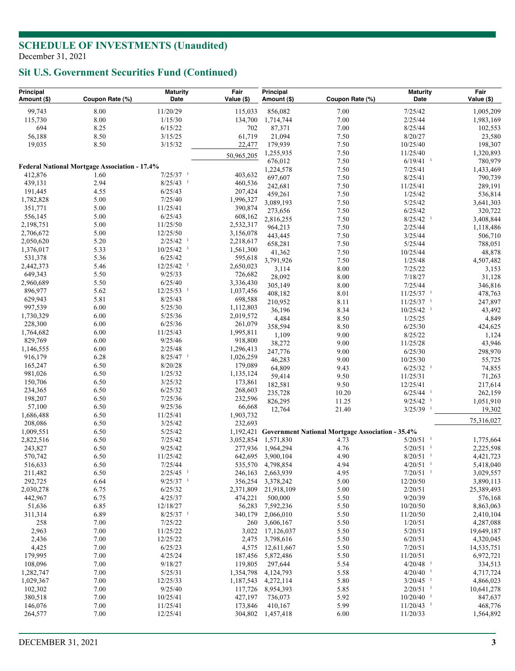## **Sit U.S. Government Securities Fund (Continued)**

| Principal<br>Amount (\$)                             | Coupon Rate (%) | <b>Maturity</b><br>Date | Fair<br>Value (\$)   | Principal<br>Amount (\$) | Coupon Rate (%)                                            | <b>Maturity</b><br>Date            | Fair<br>Value (\$)   |
|------------------------------------------------------|-----------------|-------------------------|----------------------|--------------------------|------------------------------------------------------------|------------------------------------|----------------------|
| 99,743                                               | 8.00            | 11/20/29                | 115,033              | 856,082                  | 7.00                                                       | 7/25/42                            | 1,005,209            |
| 115,730                                              | 8.00            | 1/15/30                 | 134,700              | 1,714,744                | 7.00                                                       | 2/25/44                            | 1,983,169            |
| 694                                                  | 8.25            | 6/15/22                 | 702                  | 87,371                   | 7.00                                                       | 8/25/44                            | 102,553              |
| 56,188                                               | 8.50            | 3/15/25                 | 61,719               | 21,094                   | 7.50                                                       | 8/20/27                            | 23,580               |
| 19,035                                               | 8.50            | 3/15/32                 | 22,477               | 179,939                  | 7.50                                                       | 10/25/40                           | 198,307              |
|                                                      |                 |                         | 50,965,205           | 1,255,935                | 7.50                                                       | 11/25/40                           | 1,320,893            |
|                                                      |                 |                         |                      | 676,012                  | 7.50                                                       | $6/19/41$ <sup>1</sup>             | 780,979              |
| <b>Federal National Mortgage Association - 17.4%</b> |                 |                         |                      | 1,224,578                | 7.50                                                       | 7/25/41                            | 1,433,469            |
| 412,876                                              | 1.60            | $7/25/37$ <sup>1</sup>  | 403,632              | 697,607                  | 7.50                                                       | 8/25/41                            | 790,739              |
| 439,131                                              | 2.94            | $8/25/43$ <sup>1</sup>  | 460,536              | 242,681                  | 7.50                                                       | 11/25/41                           | 289,191              |
| 191,445                                              | 4.55            | 6/25/43                 | 207,424              | 459,261                  | 7.50                                                       | 1/25/42                            | 536,814              |
| 1,782,828<br>351,771                                 | 5.00<br>5.00    | 7/25/40<br>11/25/41     | 1,996,327            | 3,089,193                | 7.50                                                       | 5/25/42                            | 3,641,303            |
| 556,145                                              | 5.00            | 6/25/43                 | 390,874              | 273,656                  | 7.50                                                       | 6/25/42                            | 320,722              |
| 2,198,751                                            | 5.00            | 11/25/50                | 608,162<br>2,532,317 | 2,816,255                | 7.50                                                       | $8/25/42$ <sup>1</sup>             | 3,408,844            |
| 2,706,672                                            | 5.00            | 12/25/50                | 3,156,078            | 964,213                  | 7.50                                                       | 2/25/44                            | 1,118,486            |
| 2,050,620                                            | 5.20            | $2/25/42$ <sup>1</sup>  | 2,218,617            | 443,445                  | 7.50                                                       | 3/25/44                            | 506,710              |
| 1,376,017                                            | 5.33            | $10/25/42$ <sup>1</sup> | 1,561,300            | 658,281                  | 7.50                                                       | 5/25/44                            | 788,051              |
| 531,378                                              | 5.36            | 6/25/42                 | 595,618              | 41,362                   | 7.50                                                       | 10/25/44                           | 48,878               |
| 2,442,373                                            | 5.46            | $12/25/42$ <sup>1</sup> | 2,650,023            | 3,791,926                | 7.50                                                       | 1/25/48                            | 4,507,482            |
| 649,343                                              | 5.50            | 9/25/33                 | 726,682              | 3,114                    | 8.00                                                       | 7/25/22                            | 3,153                |
| 2,960,689                                            | 5.50            | 6/25/40                 | 3,336,430            | 28,092                   | 8.00                                                       | 7/18/27                            | 31,128               |
| 896,977                                              | 5.62            | $12/25/53$ <sup>1</sup> | 1,037,456            | 305,149                  | 8.00                                                       | 7/25/44                            | 346,816              |
| 629,943                                              | 5.81            | 8/25/43                 | 698,588              | 408,182                  | 8.01                                                       | $11/25/37$ <sup>1</sup>            | 478,763              |
| 997,539                                              | 6.00            | 5/25/30                 | 1,112,803            | 210,952                  | 8.11                                                       | $11/25/37$ <sup>1</sup>            | 247,897              |
| 1,730,329                                            | 6.00            | 5/25/36                 | 2,019,572            | 36,196                   | 8.34                                                       | $10/25/42$ <sup>1</sup>            | 43,492               |
| 228,300                                              | 6.00            | 6/25/36                 | 261,079              | 4,484                    | 8.50                                                       | 1/25/25                            | 4,849                |
| 1,764,682                                            | 6.00            | 11/25/43                | 1,995,811            | 358,594                  | 8.50                                                       | 6/25/30                            | 424,625              |
| 829,769                                              | 6.00            | 9/25/46                 | 918,800              | 1,109                    | 9.00                                                       | 8/25/22                            | 1,124                |
| 1,146,555                                            | 6.00            | 2/25/48                 | 1,296,413            | 38,272                   | 9.00                                                       | 11/25/28                           | 43,946               |
| 916,179                                              | 6.28            | $8/25/47$ <sup>1</sup>  | 1,026,259            | 247,776                  | 9.00                                                       | 6/25/30                            | 298,970              |
| 165,247                                              | 6.50            | 8/20/28                 | 179,089              | 46,283                   | 9.00                                                       | 10/25/30                           | 55,725               |
| 981,026                                              | 6.50            | 1/25/32                 | 1,135,124            | 64,809                   | 9.43                                                       | $6/25/32$ <sup>1</sup>             | 74,855               |
| 150,706                                              | 6.50            | 3/25/32                 | 173,861              | 59,414                   | 9.50                                                       | 11/25/31                           | 71,263               |
| 234,365                                              | 6.50            | 6/25/32                 | 268,603              | 182,581<br>235,728       | 9.50                                                       | 12/25/41<br>$6/25/44$ <sup>1</sup> | 217,614              |
| 198,207                                              | 6.50            | 7/25/36                 | 232,596              | 826,295                  | 10.20<br>11.25                                             | $9/25/42$ <sup>1</sup>             | 262,159<br>1,051,910 |
| 57,100                                               | 6.50            | 9/25/36                 | 66,668               | 12,764                   | 21.40                                                      | $3/25/39$ <sup>1</sup>             | 19,302               |
| 1,686,488                                            | 6.50            | 11/25/41                | 1,903,732            |                          |                                                            |                                    |                      |
| 208,086                                              | 6.50            | 3/25/42                 | 232,693              |                          |                                                            |                                    | 75,316,027           |
| 1,009,551                                            | 6.50            | 5/25/42                 |                      |                          | 1,192,421 Government National Mortgage Association - 35.4% |                                    |                      |
| 2,822,516                                            | 6.50            | 7/25/42                 | 3,052,854            | 1,571,830                | 4.73                                                       | $5/20/51$ <sup>1</sup>             | 1,775,664            |
| 243,827                                              | 6.50            | 9/25/42                 | 277,936              | 1,964,294                | 4.76                                                       | $5/20/51$ <sup>1</sup>             | 2,225,598            |
| 570,742                                              | 6.50            | 11/25/42                |                      | 642,695 3,900,104        | 4.90                                                       | $8/20/51$ <sup>1</sup>             | 4,421,723            |
| 516,633                                              | 6.50            | 7/25/44                 |                      | 535,570 4,798,854        | 4.94                                                       | $4/20/51$ <sup>1</sup>             | 5,418,040            |
| 211,482                                              | 6.50            | $2/25/45$ <sup>1</sup>  |                      | 246,163 2,663,939        | 4.95                                                       | $7/20/51$ <sup>1</sup>             | 3,029,557            |
| 292,725                                              | 6.64            | $9/25/37$ <sup>1</sup>  | 356,254              | 3,378,242                | 5.00                                                       | 12/20/50                           | 3,890,113            |
| 2,030,278                                            | 6.75            | 6/25/32                 | 2,371,809            | 21,918,109               | 5.00                                                       | 2/20/51                            | 25,389,493           |
| 442,967                                              | 6.75            | 4/25/37                 | 474,221              | 500,000                  | 5.50                                                       | 9/20/39                            | 576,168              |
| 51,636                                               | 6.85            | 12/18/27                | 56,283               | 7,592,236                | 5.50                                                       | 10/20/50                           | 8,863,063            |
| 311,314                                              | 6.89            | $8/25/37$ <sup>1</sup>  | 340,179              | 2,066,010                | 5.50                                                       | 11/20/50                           | 2,410,104            |
| 258                                                  | 7.00            | 7/25/22                 | 260                  | 3,606,167                | 5.50                                                       | 1/20/51                            | 4,287,088            |
| 2,963                                                | 7.00            | 11/25/22                | 3,022                | 17,126,037               | 5.50                                                       | 5/20/51                            | 19,649,187           |
| 2,436                                                | 7.00            | 12/25/22                | 2,475                | 3,798,616                | 5.50                                                       | 6/20/51                            | 4,320,045            |
| 4,425                                                | 7.00            | 6/25/23                 | 4,575                | 12,611,667               | 5.50                                                       | 7/20/51                            | 14,535,751           |
| 179,995                                              | 7.00            | 4/25/24                 | 187,456              | 5,872,486                | 5.50                                                       | 11/20/51                           | 6,972,721            |
| 108,096                                              | 7.00            | 9/18/27                 | 119,805              | 297,644                  | 5.54                                                       | $4/20/48$ <sup>1</sup>             | 334,513              |
| 1,282,747                                            | 7.00            | 5/25/31                 | 1,354,798            | 4,124,793                | 5.58                                                       | $4/20/40$ <sup>1</sup>             | 4,717,724            |
| 1,029,367                                            | 7.00            | 12/25/33                | 1,187,543            | 4,272,114                | 5.80                                                       | $3/20/45$ <sup>1</sup>             | 4,866,023            |
| 102,302                                              | 7.00            | 9/25/40                 | 117,726              | 8,954,393                | 5.85                                                       | $2/20/51$ <sup>1</sup>             | 10,641,278           |
| 380,518                                              | 7.00            | 10/25/41                | 427,197              | 736,073                  | 5.92                                                       | $10/20/40$ <sup>1</sup>            | 847,637              |
| 146,076                                              | 7.00            | 11/25/41                | 173,846              | 410,167                  | 5.99                                                       | $11/20/43$ <sup>1</sup>            | 468,776              |
| 264,577                                              | 7.00            | 12/25/41                |                      | 304,802 1,457,418        | 6.00                                                       | 11/20/33                           | 1,564,892            |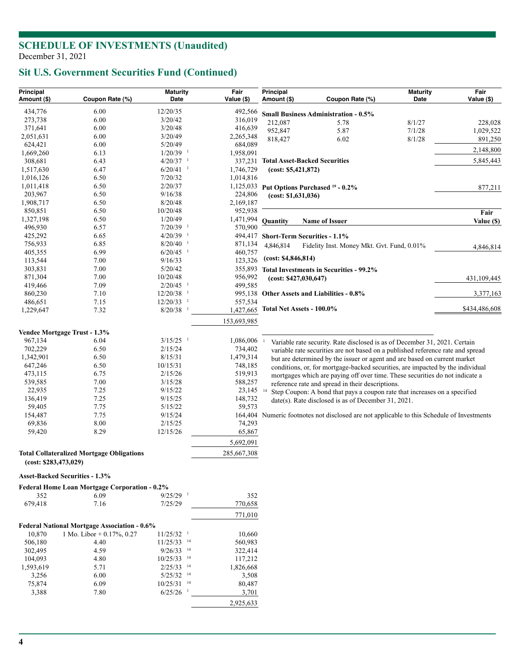# **Sit U.S. Government Securities Fund (Continued)**

| Principal<br>Amount (\$) | Coupon Rate (%)                                      | <b>Maturity</b><br>Date            | Fair<br>Value (\$)   | Principal<br>Amount (\$)                                                                                                                                     | Coupon Rate (%)                                                                                                                  | <b>Maturity</b><br>Date | Fair<br>Value (\$)   |  |  |
|--------------------------|------------------------------------------------------|------------------------------------|----------------------|--------------------------------------------------------------------------------------------------------------------------------------------------------------|----------------------------------------------------------------------------------------------------------------------------------|-------------------------|----------------------|--|--|
| 434,776                  | 6.00                                                 | 12/20/35                           | 492,566              |                                                                                                                                                              |                                                                                                                                  |                         |                      |  |  |
| 273,738                  | 6.00                                                 | 3/20/42                            | 316,019              |                                                                                                                                                              | <b>Small Business Administration - 0.5%</b>                                                                                      |                         |                      |  |  |
| 371,641                  | 6.00                                                 | 3/20/48                            | 416,639              | 212,087<br>952,847                                                                                                                                           | 5.78                                                                                                                             | 8/1/27<br>7/1/28        | 228,028              |  |  |
| 2,051,631                | 6.00                                                 | 3/20/49                            | 2,265,348            | 818,427                                                                                                                                                      | 5.87<br>6.02                                                                                                                     | 8/1/28                  | 1,029,522<br>891,250 |  |  |
| 624,421                  | 6.00                                                 | 5/20/49                            | 684,089              |                                                                                                                                                              |                                                                                                                                  |                         |                      |  |  |
| 1,669,260                | 6.13                                                 | $1/20/39$ <sup>1</sup>             | 1,958,091            |                                                                                                                                                              |                                                                                                                                  |                         | 2,148,800            |  |  |
| 308,681                  | 6.43                                                 | $4/20/37$ <sup>1</sup>             | 337,231              |                                                                                                                                                              | <b>Total Asset-Backed Securities</b>                                                                                             |                         | 5,845,443            |  |  |
| 1,517,630                | 6.47                                                 | $6/20/41$ <sup>1</sup>             | 1,746,729            | (cost: \$5,421,872)                                                                                                                                          |                                                                                                                                  |                         |                      |  |  |
| 1,016,126                | 6.50                                                 | 7/20/32                            | 1,014,816            |                                                                                                                                                              |                                                                                                                                  |                         |                      |  |  |
| 1,011,418                | 6.50                                                 | 2/20/37                            |                      |                                                                                                                                                              | 1,125,033 Put Options Purchased <sup>19</sup> - 0.2%                                                                             |                         | 877,211              |  |  |
| 203,967                  | 6.50                                                 | 9/16/38                            | 224,806              | (cost: \$1,631,036)                                                                                                                                          |                                                                                                                                  |                         |                      |  |  |
| 1,908,717                | 6.50                                                 | 8/20/48                            | 2,169,187            |                                                                                                                                                              |                                                                                                                                  |                         |                      |  |  |
| 850,851                  | 6.50                                                 | 10/20/48                           | 952,938              |                                                                                                                                                              |                                                                                                                                  |                         | Fair                 |  |  |
| 1,327,198                | 6.50                                                 | 1/20/49                            | 1,471,994            | <b>Quantity</b>                                                                                                                                              | <b>Name of Issuer</b>                                                                                                            |                         | Value (\$)           |  |  |
| 496,930                  | 6.57                                                 | $7/20/39$ <sup>1</sup>             | 570,900              |                                                                                                                                                              |                                                                                                                                  |                         |                      |  |  |
| 425,292                  | 6.65                                                 | $4/20/39$ <sup>1</sup>             |                      | 494,417 Short-Term Securities - 1.1%                                                                                                                         |                                                                                                                                  |                         |                      |  |  |
| 756,933                  | 6.85                                                 | 8/20/40                            | 871,134              | 4,846,814                                                                                                                                                    | Fidelity Inst. Money Mkt. Gvt. Fund, 0.01%                                                                                       |                         | 4,846,814            |  |  |
| 405,355                  | 6.99                                                 | $6/20/45$ <sup>1</sup>             | 460,757              | (cost: \$4,846,814)                                                                                                                                          |                                                                                                                                  |                         |                      |  |  |
| 113,544                  | 7.00                                                 | 9/16/33                            | 123,326              |                                                                                                                                                              |                                                                                                                                  |                         |                      |  |  |
| 303,831                  | 7.00                                                 | 5/20/42                            | 355,893              |                                                                                                                                                              | <b>Total Investments in Securities - 99.2%</b>                                                                                   |                         |                      |  |  |
| 871,304                  | 7.00                                                 | 10/20/48                           | 956,992              | (cost: \$427,030,647)                                                                                                                                        |                                                                                                                                  |                         | 431,109,445          |  |  |
| 419,466                  | 7.09                                                 | $2/20/45$ <sup>1</sup>             | 499,585              |                                                                                                                                                              |                                                                                                                                  |                         |                      |  |  |
| 860,230                  | 7.10                                                 | $12/20/38$ <sup>1</sup>            |                      |                                                                                                                                                              | 995,138 Other Assets and Liabilities - 0.8%                                                                                      |                         | 3,377,163            |  |  |
| 486,651                  | 7.15                                                 | $12/20/33$ <sup>1</sup><br>8/20/38 | 557,534<br>1,427,665 | Total Net Assets - 100.0%                                                                                                                                    |                                                                                                                                  |                         | \$434,486,608        |  |  |
| 1,229,647                | 7.32                                                 |                                    | 153,693,985          |                                                                                                                                                              |                                                                                                                                  |                         |                      |  |  |
|                          |                                                      |                                    |                      |                                                                                                                                                              |                                                                                                                                  |                         |                      |  |  |
|                          | Vendee Mortgage Trust - 1.3%                         | $3/15/25$ <sup>1</sup>             |                      |                                                                                                                                                              |                                                                                                                                  |                         |                      |  |  |
| 967,134<br>702,229       | 6.04<br>6.50                                         | 2/15/24                            | 1,086,006<br>734,402 |                                                                                                                                                              | Variable rate security. Rate disclosed is as of December 31, 2021. Certain                                                       |                         |                      |  |  |
| 1,342,901                | 6.50                                                 | 8/15/31                            | 1,479,314            | variable rate securities are not based on a published reference rate and spread<br>but are determined by the issuer or agent and are based on current market |                                                                                                                                  |                         |                      |  |  |
| 647,246                  | 6.50                                                 | 10/15/31                           | 748,185              |                                                                                                                                                              |                                                                                                                                  |                         |                      |  |  |
| 473,115                  | 6.75                                                 | 2/15/26                            | 519,913              |                                                                                                                                                              | conditions, or, for mortgage-backed securities, are impacted by the individual                                                   |                         |                      |  |  |
| 539,585                  | 7.00                                                 | 3/15/28                            | 588,257              |                                                                                                                                                              | mortgages which are paying off over time. These securities do not indicate a<br>reference rate and spread in their descriptions. |                         |                      |  |  |
| 22,935                   | 7.25                                                 | 9/15/22                            | 23,145 14            |                                                                                                                                                              | Step Coupon: A bond that pays a coupon rate that increases on a specified                                                        |                         |                      |  |  |
| 136,419                  | 7.25                                                 | 9/15/25                            | 148,732              |                                                                                                                                                              | date(s). Rate disclosed is as of December 31, 2021.                                                                              |                         |                      |  |  |
| 59,405                   | 7.75                                                 | 5/15/22                            | 59,573               |                                                                                                                                                              |                                                                                                                                  |                         |                      |  |  |
| 154,487                  | 7.75                                                 | 9/15/24                            |                      |                                                                                                                                                              | 164,404 Numeric footnotes not disclosed are not applicable to this Schedule of Investments                                       |                         |                      |  |  |
| 69,836                   | 8.00                                                 | 2/15/25                            | 74,293               |                                                                                                                                                              |                                                                                                                                  |                         |                      |  |  |
| 59,420                   | 8.29                                                 | 12/15/26                           | 65,867               |                                                                                                                                                              |                                                                                                                                  |                         |                      |  |  |
|                          |                                                      |                                    | 5,692,091            |                                                                                                                                                              |                                                                                                                                  |                         |                      |  |  |
|                          | <b>Total Collateralized Mortgage Obligations</b>     |                                    | 285,667,308          |                                                                                                                                                              |                                                                                                                                  |                         |                      |  |  |
| (cost: \$283,473,029)    |                                                      |                                    |                      |                                                                                                                                                              |                                                                                                                                  |                         |                      |  |  |
|                          | Asset-Backed Securities - 1.3%                       |                                    |                      |                                                                                                                                                              |                                                                                                                                  |                         |                      |  |  |
|                          | <b>Federal Home Loan Mortgage Corporation - 0.2%</b> |                                    |                      |                                                                                                                                                              |                                                                                                                                  |                         |                      |  |  |
| 352<br>679,418           | 6.09<br>7.16                                         | $9/25/29$ <sup>1</sup><br>7/25/29  | 352                  |                                                                                                                                                              |                                                                                                                                  |                         |                      |  |  |
|                          |                                                      |                                    | 770,658              |                                                                                                                                                              |                                                                                                                                  |                         |                      |  |  |
|                          |                                                      |                                    | 771,010              |                                                                                                                                                              |                                                                                                                                  |                         |                      |  |  |
|                          | <b>Federal National Mortgage Association - 0.6%</b>  |                                    |                      |                                                                                                                                                              |                                                                                                                                  |                         |                      |  |  |
| 10,870                   | 1 Mo. Libor + $0.17\%$ , 0.27                        | $11/25/32$ <sup>1</sup>            | 10,660               |                                                                                                                                                              |                                                                                                                                  |                         |                      |  |  |
| 506,180                  | 4.40                                                 | $11/25/33$ <sup>14</sup>           | 560,983              |                                                                                                                                                              |                                                                                                                                  |                         |                      |  |  |
| 302,495                  | 4.59                                                 | $9/26/33$ <sup>14</sup>            | 322,414              |                                                                                                                                                              |                                                                                                                                  |                         |                      |  |  |
| 104,093                  | 4.80                                                 | $10/25/33$ <sup>14</sup>           | 117,212              |                                                                                                                                                              |                                                                                                                                  |                         |                      |  |  |
| 1,593,619                | 5.71                                                 | $2/25/33$ <sup>14</sup>            | 1,826,668            |                                                                                                                                                              |                                                                                                                                  |                         |                      |  |  |
| 3,256                    | 6.00                                                 | $5/25/32$ <sup>14</sup>            | 3,508                |                                                                                                                                                              |                                                                                                                                  |                         |                      |  |  |
| 75,874                   | 6.09                                                 | $10/25/31$ <sup>14</sup>           | 80,487               |                                                                                                                                                              |                                                                                                                                  |                         |                      |  |  |
| 3,388                    | 7.80                                                 | $6/25/26$ <sup>1</sup>             | 3,701                |                                                                                                                                                              |                                                                                                                                  |                         |                      |  |  |
|                          |                                                      |                                    | 2,925,633            |                                                                                                                                                              |                                                                                                                                  |                         |                      |  |  |